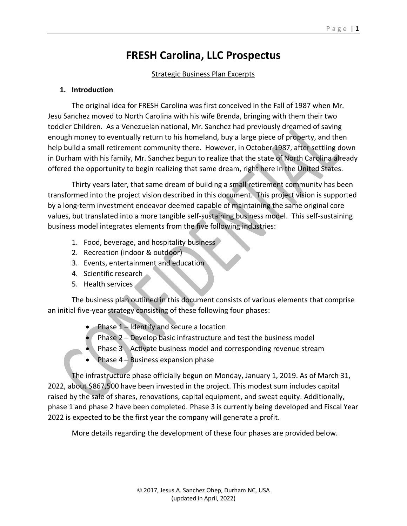# **FRESH Carolina, LLC Prospectus**

#### Strategic Business Plan Excerpts

#### **1. Introduction**

The original idea for FRESH Carolina was first conceived in the Fall of 1987 when Mr. Jesu Sanchez moved to North Carolina with his wife Brenda, bringing with them their two toddler Children. As a Venezuelan national, Mr. Sanchez had previously dreamed of saving enough money to eventually return to his homeland, buy a large piece of property, and then help build a small retirement community there. However, in October 1987, after settling down in Durham with his family, Mr. Sanchez begun to realize that the state of North Carolina already offered the opportunity to begin realizing that same dream, right here in the United States.

Thirty years later, that same dream of building a small retirement community has been transformed into the project vision described in this document. This project vision is supported by a long-term investment endeavor deemed capable of maintaining the same original core values, but translated into a more tangible self-sustaining business model. This self-sustaining business model integrates elements from the five following industries:

- 1. Food, beverage, and hospitality business
- 2. Recreation (indoor & outdoor)
- 3. Events, entertainment and education
- 4. Scientific research
- 5. Health services

The business plan outlined in this document consists of various elements that comprise an initial five-year strategy consisting of these following four phases:

- Phase 1 Identify and secure a location
- Phase 2 Develop basic infrastructure and test the business model
- Phase 3 Activate business model and corresponding revenue stream
- Phase  $4 -$  Business expansion phase

The infrastructure phase officially begun on Monday, January 1, 2019. As of March 31, 2022, about \$867,500 have been invested in the project. This modest sum includes capital raised by the sale of shares, renovations, capital equipment, and sweat equity. Additionally, phase 1 and phase 2 have been completed. Phase 3 is currently being developed and Fiscal Year 2022 is expected to be the first year the company will generate a profit.

More details regarding the development of these four phases are provided below.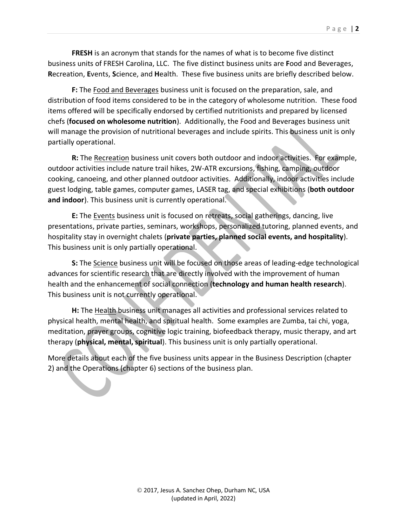**FRESH** is an acronym that stands for the names of what is to become five distinct business units of FRESH Carolina, LLC. The five distinct business units are **F**ood and Beverages, **R**ecreation, **E**vents, **S**cience, and **H**ealth. These five business units are briefly described below.

**F:** The Food and Beverages business unit is focused on the preparation, sale, and distribution of food items considered to be in the category of wholesome nutrition. These food items offered will be specifically endorsed by certified nutritionists and prepared by licensed chefs (**focused on wholesome nutrition**). Additionally, the Food and Beverages business unit will manage the provision of nutritional beverages and include spirits. This business unit is only partially operational.

**R:** The Recreation business unit covers both outdoor and indoor activities. For example, outdoor activities include nature trail hikes, 2W-ATR excursions, fishing, camping, outdoor cooking, canoeing, and other planned outdoor activities. Additionally, indoor activities include guest lodging, table games, computer games, LASER tag, and special exhibitions (**both outdoor and indoor**). This business unit is currently operational.

**E:** The Events business unit is focused on retreats, social gatherings, dancing, live presentations, private parties, seminars, workshops, personalized tutoring, planned events, and hospitality stay in overnight chalets (**private parties, planned social events, and hospitality**). This business unit is only partially operational.

**S:** The Science business unit will be focused on those areas of leading-edge technological advances for scientific research that are directly involved with the improvement of human health and the enhancement of social connection (**technology and human health research**). This business unit is not currently operational.

**H:** The Health business unit manages all activities and professional services related to physical health, mental health, and spiritual health. Some examples are Zumba, tai chi, yoga, meditation, prayer groups, cognitive logic training, biofeedback therapy, music therapy, and art therapy (**physical, mental, spiritual**). This business unit is only partially operational.

More details about each of the five business units appear in the Business Description (chapter 2) and the Operations (chapter 6) sections of the business plan.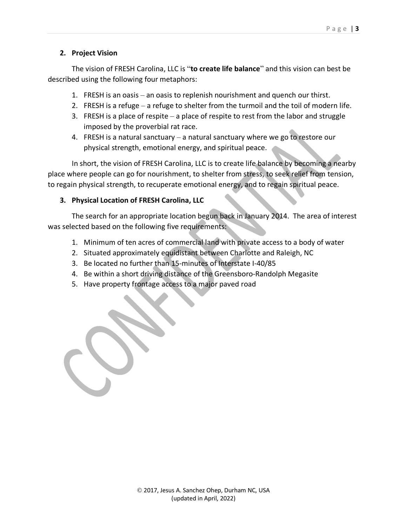## **2. Project Vision**

The vision of FRESH Carolina, LLC is "**to create life balance**" and this vision can best be described using the following four metaphors:

- 1. FRESH is an oasis an oasis to replenish nourishment and quench our thirst.
- 2. FRESH is a refuge a refuge to shelter from the turmoil and the toil of modern life.
- 3. FRESH is a place of respite a place of respite to rest from the labor and struggle imposed by the proverbial rat race.
- 4. FRESH is a natural sanctuary a natural sanctuary where we go to restore our physical strength, emotional energy, and spiritual peace.

In short, the vision of FRESH Carolina, LLC is to create life balance by becoming a nearby place where people can go for nourishment, to shelter from stress, to seek relief from tension, to regain physical strength, to recuperate emotional energy, and to regain spiritual peace.

## **3. Physical Location of FRESH Carolina, LLC**

The search for an appropriate location begun back in January 2014. The area of interest was selected based on the following five requirements:

- 1. Minimum of ten acres of commercial land with private access to a body of water
- 2. Situated approximately equidistant between Charlotte and Raleigh, NC
- 3. Be located no further than 15-minutes of Interstate I-40/85
- 4. Be within a short driving distance of the Greensboro-Randolph Megasite
- 5. Have property frontage access to a major paved road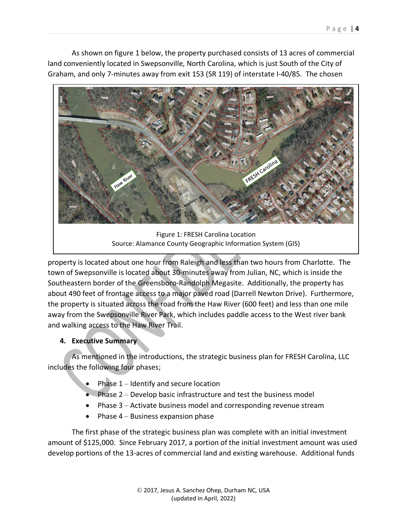As shown on figure 1 below, the property purchased consists of 13 acres of commercial land conveniently located in Swepsonville, North Carolina, which is just South of the City of Graham, and only 7-minutes away from exit 153 (SR 119) of interstate I-40/85. The chosen



Figure 1: FRESH Carolina Location Source: Alamance County Geographic Information System (GIS)

property is located about one hour from Raleigh and less than two hours from Charlotte. The town of Swepsonville is located about 30-minutes away from Julian, NC, which is inside the Southeastern border of the Greensboro-Randolph Megasite. Additionally, the property has about 490 feet of frontage access to a major paved road (Darrell Newton Drive). Furthermore, the property is situated across the road from the Haw River (600 feet) and less than one mile away from the Swepsonville River Park, which includes paddle access to the West river bank and walking access to the Haw River Trail.

# **4. Executive Summary**

As mentioned in the introductions, the strategic business plan for FRESH Carolina, LLC includes the following four phases;

- Phase  $1$  Identify and secure location
- Phase 2 Develop basic infrastructure and test the business model
- Phase 3 Activate business model and corresponding revenue stream
- Phase  $4 -$  Business expansion phase

The first phase of the strategic business plan was complete with an initial investment amount of \$125,000. Since February 2017, a portion of the initial investment amount was used develop portions of the 13-acres of commercial land and existing warehouse. Additional funds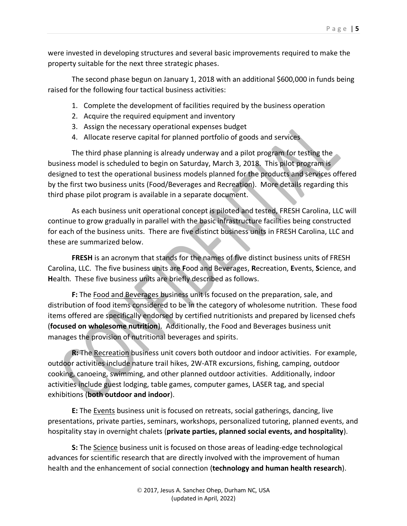were invested in developing structures and several basic improvements required to make the property suitable for the next three strategic phases.

The second phase begun on January 1, 2018 with an additional \$600,000 in funds being raised for the following four tactical business activities:

- 1. Complete the development of facilities required by the business operation
- 2. Acquire the required equipment and inventory
- 3. Assign the necessary operational expenses budget
- 4. Allocate reserve capital for planned portfolio of goods and services

The third phase planning is already underway and a pilot program for testing the business model is scheduled to begin on Saturday, March 3, 2018. This pilot program is designed to test the operational business models planned for the products and services offered by the first two business units (Food/Beverages and Recreation). More details regarding this third phase pilot program is available in a separate document.

As each business unit operational concept is piloted and tested, FRESH Carolina, LLC will continue to grow gradually in parallel with the basic infrastructure facilities being constructed for each of the business units. There are five distinct business units in FRESH Carolina, LLC and these are summarized below.

**FRESH** is an acronym that stands for the names of five distinct business units of FRESH Carolina, LLC. The five business units are **F**ood and Beverages, **R**ecreation, **E**vents, **S**cience, and **H**ealth. These five business units are briefly described as follows.

**F:** The Food and Beverages business unit is focused on the preparation, sale, and distribution of food items considered to be in the category of wholesome nutrition. These food items offered are specifically endorsed by certified nutritionists and prepared by licensed chefs (**focused on wholesome nutrition**). Additionally, the Food and Beverages business unit manages the provision of nutritional beverages and spirits.

**R:** The Recreation business unit covers both outdoor and indoor activities. For example, outdoor activities include nature trail hikes, 2W-ATR excursions, fishing, camping, outdoor cooking, canoeing, swimming, and other planned outdoor activities. Additionally, indoor activities include guest lodging, table games, computer games, LASER tag, and special exhibitions (**both outdoor and indoor**).

**E:** The Events business unit is focused on retreats, social gatherings, dancing, live presentations, private parties, seminars, workshops, personalized tutoring, planned events, and hospitality stay in overnight chalets (**private parties, planned social events, and hospitality**).

**S:** The Science business unit is focused on those areas of leading-edge technological advances for scientific research that are directly involved with the improvement of human health and the enhancement of social connection (**technology and human health research**).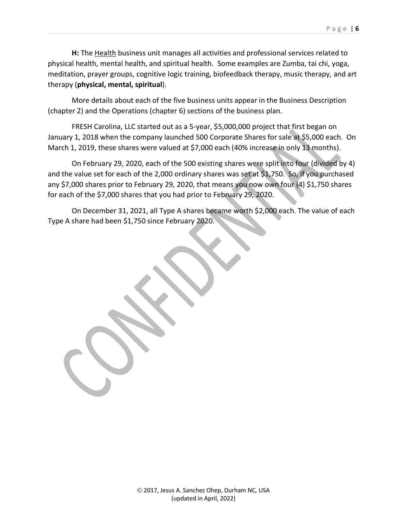**H:** The Health business unit manages all activities and professional services related to physical health, mental health, and spiritual health. Some examples are Zumba, tai chi, yoga, meditation, prayer groups, cognitive logic training, biofeedback therapy, music therapy, and art therapy (**physical, mental, spiritual**).

More details about each of the five business units appear in the Business Description (chapter 2) and the Operations (chapter 6) sections of the business plan.

FRESH Carolina, LLC started out as a 5-year, \$5,000,000 project that first began on January 1, 2018 when the company launched 500 Corporate Shares for sale at \$5,000 each. On March 1, 2019, these shares were valued at \$7,000 each (40% increase in only 13 months).

On February 29, 2020, each of the 500 existing shares were split into four (divided by 4) and the value set for each of the 2,000 ordinary shares was set at \$1,750. So, if you purchased any \$7,000 shares prior to February 29, 2020, that means you now own four (4) \$1,750 shares for each of the \$7,000 shares that you had prior to February 29, 2020.

On December 31, 2021, all Type A shares became worth \$2,000 each. The value of each Type A share had been \$1,750 since February 2020.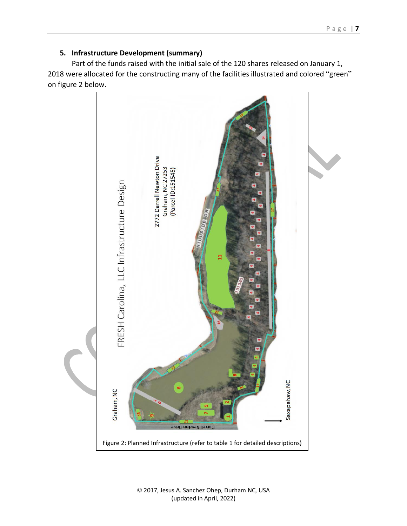# **5. Infrastructure Development (summary)**

Part of the funds raised with the initial sale of the 120 shares released on January 1, 2018 were allocated for the constructing many of the facilities illustrated and colored "green" on figure 2 below.

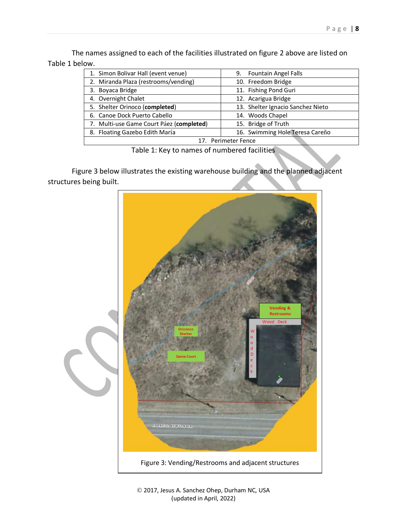The names assigned to each of the facilities illustrated on figure 2 above are listed on Table 1 below.

| 1. Simon Bolivar Hall (event venue)      | <b>Fountain Angel Falls</b><br>9. |  |  |
|------------------------------------------|-----------------------------------|--|--|
| 2. Miranda Plaza (restrooms/vending)     | 10. Freedom Bridge                |  |  |
| 3. Boyaca Bridge                         | 11. Fishing Pond Guri             |  |  |
| 4. Overnight Chalet                      | 12. Acarigua Bridge               |  |  |
| 5. Shelter Orinoco (completed)           | 13. Shelter Ignacio Sanchez Nieto |  |  |
| 6. Canoe Dock Puerto Cabello             | 14. Woods Chapel                  |  |  |
| 7. Multi-use Game Court Páez (completed) | 15. Bridge of Truth               |  |  |
| 8. Floating Gazebo Edith María           | 16. Swimming Hole Teresa Careño   |  |  |
| 17. Perimeter Fence                      |                                   |  |  |

Table 1: Key to names of numbered facilities

Figure 3 below illustrates the existing warehouse building and the planned adjacent structures being built.

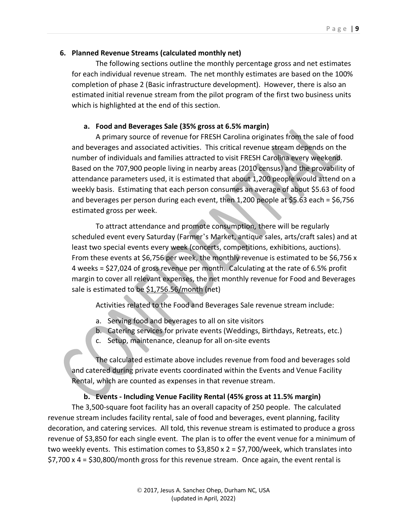## **6. Planned Revenue Streams (calculated monthly net)**

The following sections outline the monthly percentage gross and net estimates for each individual revenue stream. The net monthly estimates are based on the 100% completion of phase 2 (Basic infrastructure development). However, there is also an estimated initial revenue stream from the pilot program of the first two business units which is highlighted at the end of this section.

## **a. Food and Beverages Sale (35% gross at 6.5% margin)**

A primary source of revenue for FRESH Carolina originates from the sale of food and beverages and associated activities. This critical revenue stream depends on the number of individuals and families attracted to visit FRESH Carolina every weekend. Based on the 707,900 people living in nearby areas (2010 census) and the provability of attendance parameters used, it is estimated that about 1,200 people would attend on a weekly basis. Estimating that each person consumes an average of about \$5.63 of food and beverages per person during each event, then 1,200 people at \$5.63 each = \$6,756 estimated gross per week.

To attract attendance and promote consumption, there will be regularly scheduled event every Saturday (Farmer's Market, antique sales, arts/craft sales) and at least two special events every week (concerts, competitions, exhibitions, auctions). From these events at \$6,756 per week, the monthly revenue is estimated to be \$6,756 x 4 weeks = \$27,024 of gross revenue per month. Calculating at the rate of 6.5% profit margin to cover all relevant expenses, the net monthly revenue for Food and Beverages sale is estimated to be \$1,756.56/month (net)

Activities related to the Food and Beverages Sale revenue stream include:

- a. Serving food and beverages to all on site visitors
- b. Catering services for private events (Weddings, Birthdays, Retreats, etc.)
- c. Setup, maintenance, cleanup for all on-site events

The calculated estimate above includes revenue from food and beverages sold and catered during private events coordinated within the Events and Venue Facility Rental, which are counted as expenses in that revenue stream.

# **b. Events - Including Venue Facility Rental (45% gross at 11.5% margin)**

The 3,500-square foot facility has an overall capacity of 250 people. The calculated revenue stream includes facility rental, sale of food and beverages, event planning, facility decoration, and catering services. All told, this revenue stream is estimated to produce a gross revenue of \$3,850 for each single event. The plan is to offer the event venue for a minimum of two weekly events. This estimation comes to \$3,850 x 2 = \$7,700/week, which translates into \$7,700 x 4 = \$30,800/month gross for this revenue stream. Once again, the event rental is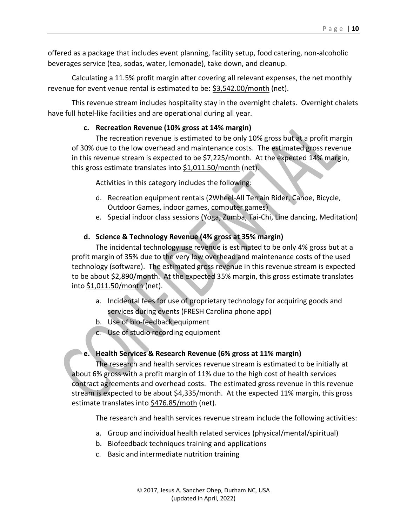offered as a package that includes event planning, facility setup, food catering, non-alcoholic beverages service (tea, sodas, water, lemonade), take down, and cleanup.

Calculating a 11.5% profit margin after covering all relevant expenses, the net monthly revenue for event venue rental is estimated to be: \$3,542.00/month (net).

This revenue stream includes hospitality stay in the overnight chalets. Overnight chalets have full hotel-like facilities and are operational during all year.

#### **c. Recreation Revenue (10% gross at 14% margin)**

The recreation revenue is estimated to be only 10% gross but at a profit margin of 30% due to the low overhead and maintenance costs. The estimated gross revenue in this revenue stream is expected to be \$7,225/month. At the expected 14% margin, this gross estimate translates into \$1,011.50/month (net).

Activities in this category includes the following:

- d. Recreation equipment rentals (2Wheel-All Terrain Rider, Canoe, Bicycle, Outdoor Games, indoor games, computer games)
- e. Special indoor class sessions (Yoga, Zumba, Tai-Chi, Line dancing, Meditation)

#### **d. Science & Technology Revenue (4% gross at 35% margin)**

The incidental technology use revenue is estimated to be only 4% gross but at a profit margin of 35% due to the very low overhead and maintenance costs of the used technology (software). The estimated gross revenue in this revenue stream is expected to be about \$2,890/month. At the expected 35% margin, this gross estimate translates into \$1,011.50/month (net).

- a. Incidental fees for use of proprietary technology for acquiring goods and services during events (FRESH Carolina phone app)
- b. Use of bio-feedback equipment
- c. Use of studio recording equipment

# **e. Health Services & Research Revenue (6% gross at 11% margin)**

The research and health services revenue stream is estimated to be initially at about 6% gross with a profit margin of 11% due to the high cost of health services contract agreements and overhead costs. The estimated gross revenue in this revenue stream is expected to be about \$4,335/month. At the expected 11% margin, this gross estimate translates into \$476.85/moth (net).

The research and health services revenue stream include the following activities:

- a. Group and individual health related services (physical/mental/spiritual)
- b. Biofeedback techniques training and applications
- c. Basic and intermediate nutrition training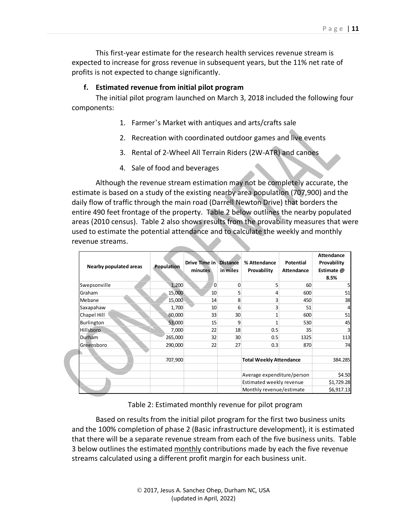This first-year estimate for the research health services revenue stream is expected to increase for gross revenue in subsequent years, but the 11% net rate of profits is not expected to change significantly.

## **f. Estimated revenue from initial pilot program**

The initial pilot program launched on March 3, 2018 included the following four components:

- 1. Farmer's Market with antiques and arts/crafts sale
- 2. Recreation with coordinated outdoor games and live events
- 3. Rental of 2-Wheel All Terrain Riders (2W-ATR) and canoes
- 4. Sale of food and beverages

Although the revenue stream estimation may not be completely accurate, the estimate is based on a study of the existing nearby area population (707,900) and the daily flow of traffic through the main road (Darrell Newton Drive) that borders the entire 490 feet frontage of the property. Table 2 below outlines the nearby populated areas (2010 census). Table 2 also shows results from the provability measures that were used to estimate the potential attendance and to calculate the weekly and monthly revenue streams.

| Nearby populated areas | Population | <b>Drive Time in Distance</b><br>minutes | in miles | % Attendance<br>Provability    | Potential<br>Attendance | <b>Attendance</b><br>Provability<br>Estimate @<br>8.5% |
|------------------------|------------|------------------------------------------|----------|--------------------------------|-------------------------|--------------------------------------------------------|
| Swepsonville           | 1,200      | O                                        | 0        | 5                              | 60                      | 5                                                      |
| Graham                 | 15,000     | 10                                       | 5        | 4                              | 600                     | 51                                                     |
| Mebane                 | 15,000     | 14                                       | 8        | 3                              | 450                     | 38                                                     |
| Saxapahaw              | 1,700      | 10                                       | 6        | 3                              | 51                      |                                                        |
| Chapel Hill            | 60,000     | 33                                       | 30       | 1                              | 600                     | 51                                                     |
| Burlington             | 53,000     | 15                                       | 9        | 1                              | 530                     | 45                                                     |
| Hillsboro              | 7,000      | 22                                       | 18       | 0.5                            | 35                      |                                                        |
| Durham                 | 265,000    | 32                                       | 30       | 0.5                            | 1325                    | 113                                                    |
| Greensboro             | 290,000    | 22                                       | 27       | 0.3                            | 870                     | 74                                                     |
|                        | 707,900    |                                          |          | <b>Total Weekly Attendance</b> |                         | 384.285                                                |
|                        |            |                                          |          | Average expenditure/person     |                         | \$4.50                                                 |
|                        |            |                                          |          | Estimated weekly revenue       |                         | \$1,729.28                                             |
|                        |            |                                          |          | Monthly revenue/estimate       |                         | \$6,917.13                                             |

Table 2: Estimated monthly revenue for pilot program

Based on results from the initial pilot program for the first two business units and the 100% completion of phase 2 (Basic infrastructure development), it is estimated that there will be a separate revenue stream from each of the five business units. Table 3 below outlines the estimated monthly contributions made by each the five revenue streams calculated using a different profit margin for each business unit.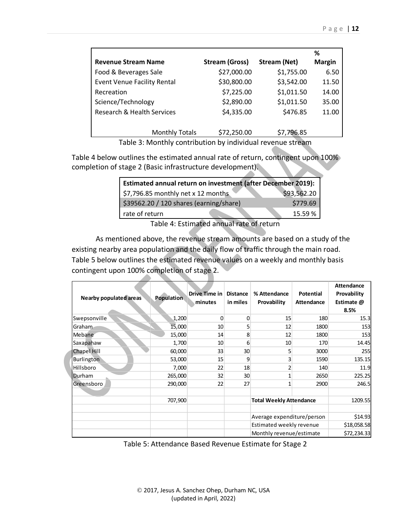|                                       |                       |                     | ℅             |
|---------------------------------------|-----------------------|---------------------|---------------|
| <b>Revenue Stream Name</b>            | <b>Stream (Gross)</b> | <b>Stream (Net)</b> | <b>Margin</b> |
| Food & Beverages Sale                 | \$27,000.00           | \$1,755.00          | 6.50          |
| <b>Event Venue Facility Rental</b>    | \$30,800.00           | \$3,542.00          | 11.50         |
| Recreation                            | \$7,225.00            | \$1,011.50          | 14.00         |
| Science/Technology                    | \$2,890.00            | \$1,011.50          | 35.00         |
| <b>Research &amp; Health Services</b> | \$4,335.00            | \$476.85            | 11.00         |
|                                       |                       |                     |               |
| <b>Monthly Totals</b>                 | \$72,250.00           | \$7,796.85          |               |

Table 3: Monthly contribution by individual revenue stream

Table 4 below outlines the estimated annual rate of return, contingent upon 100% completion of stage 2 (Basic infrastructure development).

| Estimated annual return on investment (after December 2019): |             |  |  |
|--------------------------------------------------------------|-------------|--|--|
| $\frac{1}{2}$ ,796.85 monthly net x 12 months                | \$93,562.20 |  |  |
| $\frac{1}{2}$ \$39562.20 / 120 shares (earning/share)        | \$779.69    |  |  |
| rate of return                                               | 15.59%      |  |  |

Table 4: Estimated annual rate of return

As mentioned above, the revenue stream amounts are based on a study of the existing nearby area population and the daily flow of traffic through the main road. Table 5 below outlines the estimated revenue values on a weekly and monthly basis contingent upon 100% completion of stage 2.

| Nearby populated areas | <b>Population</b> | Drive Time in<br>minutes | <b>Distance</b><br>in miles | % Attendance<br>Provability                          | <b>Potential</b><br>Attendance | <b>Attendance</b><br>Provability<br>Estimate @<br>8.5% |
|------------------------|-------------------|--------------------------|-----------------------------|------------------------------------------------------|--------------------------------|--------------------------------------------------------|
| Swepsonville           | 1,200             | 0                        | 0                           | 15                                                   | 180                            | 15.3                                                   |
| Graham                 | 15,000            | 10 <sup>1</sup>          | 5                           | 12                                                   | 1800                           | 153 <b>1</b>                                           |
| Mebane                 | 15,000            | 14                       | 8                           | 12                                                   | 1800                           | 153 <b>1</b>                                           |
| Saxapahaw              | 1,700             | 10                       | 6                           | 10                                                   | 170                            | 14.45                                                  |
| <b>Chapel Hill</b>     | 60,000            | 33                       | 30                          | 5                                                    | 3000                           | 255                                                    |
| Burlington             | 53,000            | 15                       | 9                           | 3                                                    | 1590                           | 135.15                                                 |
| Hillsboro              | 7,000             | 22                       | 18                          | $\overline{2}$                                       | 140                            | <b>11.9</b>                                            |
| Durham                 | 265,000           | 32                       | 30                          | 1                                                    | 2650                           | 225.25                                                 |
| Greensboro             | 290,000           | 22                       | 27                          | 1                                                    | 2900                           | 246.5                                                  |
|                        | 707,900           |                          |                             | <b>Total Weekly Attendance</b>                       |                                | 1209.55                                                |
|                        |                   |                          |                             | Average expenditure/person                           |                                | \$14.93                                                |
|                        |                   |                          |                             | Estimated weekly revenue<br>Monthly revenue/estimate |                                | \$18,058.58                                            |
|                        |                   |                          |                             |                                                      |                                | \$72,234.33                                            |

Table 5: Attendance Based Revenue Estimate for Stage 2